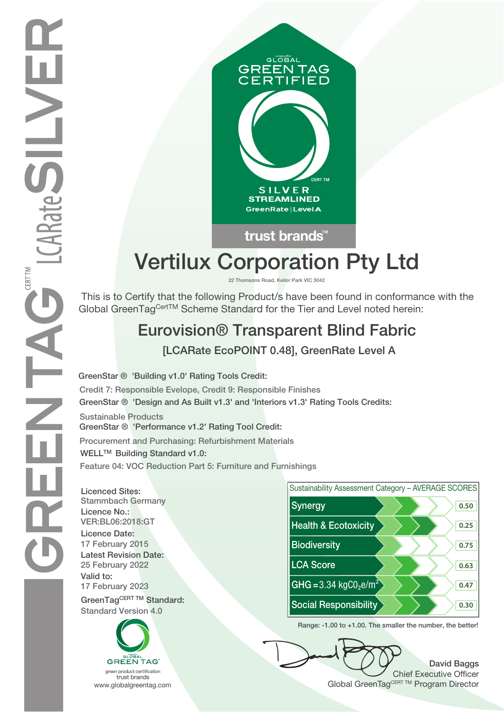

trust brands<sup>"</sup>

# **Vertilux Corporation Pty Ltd**

**22 Thomsons Road, Keilor Park VIC 3042**

 This is to Certify that the following Product/s have been found in conformance with the Global GreenTagCertTM Scheme Standard for the Tier and Level noted herein:

## **Eurovision® Transparent Blind Fabric**

 **[LCARate EcoPOINT 0.48], GreenRate Level A**

**GreenStar ® 'Design and As Built v1.3' and 'Interiors v1.3' Rating Tools Credits: GreenStar ® 'Building v1.0' Rating Tools Credit: Credit 7: Responsible Evelope, Credit 9: Responsible Finishes**

**Sustainable Products GreenStar ® 'Performance v1.2' Rating Tool Credit:**

**Procurement and Purchasing: Refurbishment Materials WELLTM Building Standard v1.0:**

**Feature 04: VOC Reduction Part 5: Furniture and Furnishings**

**Licenced Sites: Licence No.: Licence Date: Latest Revision Date: Valid to:**

**Standard Version 4.0**





**Range: -1.00 to +1.00. The smaller the number, the better!**

**David Baggs** Chief Executive Officer WWW.globalgreentag.com **Program Director** Clobal GreenTagCERT TM Program Director